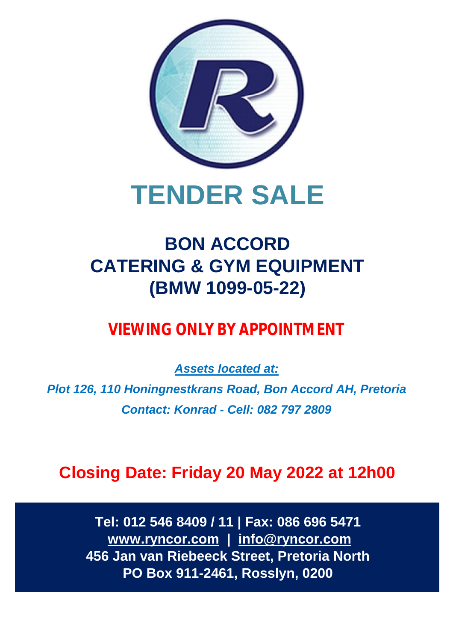

# **TENDER SALE**

# **BON ACCORD CATERING & GYM EQUIPMENT (BMW 1099-05-22)**

# *VIEWING ONLY BY APPOINTMENT*

*Assets located at: Plot 126, 110 Honingnestkrans Road, Bon Accord AH, Pretoria Contact: Konrad - Cell: 082 797 2809*

**Closing Date: Friday 20 May 2022 at 12h00**

**Tel: 012 546 8409 / 11 | Fax: 086 696 5471 [www.ryncor.com](http://www.ryncor.com) | [info@ryncor.com](mailto:info@ryncor.com) 456 Jan van Riebeeck Street, Pretoria North PO Box 911-2461, Rosslyn, 0200**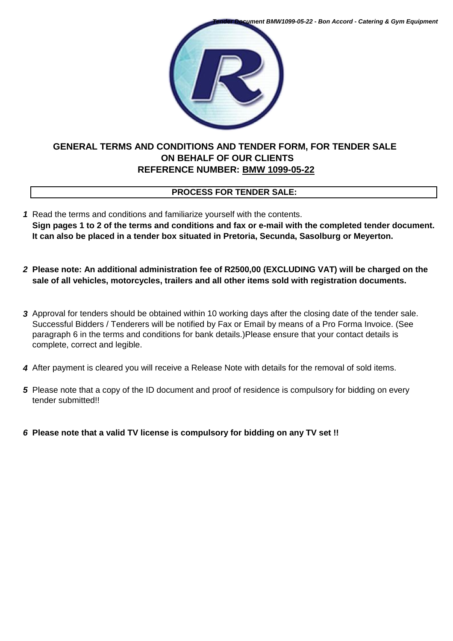*Tender Document BMW1099-05-22 - Bon Accord - Catering & Gym Equipment*



# **GENERAL TERMS AND CONDITIONS AND TENDER FORM, FOR TENDER SALE ON BEHALF OF OUR CLIENTS REFERENCE NUMBER: BMW 1099-05-22**

# **PROCESS FOR TENDER SALE:**

- *1* Read the terms and conditions and familiarize yourself with the contents. **Sign pages 1 to 2 of the terms and conditions and fax or e-mail with the completed tender document. It can also be placed in a tender box situated in Pretoria, Secunda, Sasolburg or Meyerton.**
- *2* **Please note: An additional administration fee of R2500,00 (EXCLUDING VAT) will be charged on the sale of all vehicles, motorcycles, trailers and all other items sold with registration documents.**
- *3* Approval for tenders should be obtained within 10 working days after the closing date of the tender sale. Successful Bidders / Tenderers will be notified by Fax or Email by means of a Pro Forma Invoice. (See paragraph 6 in the terms and conditions for bank details.)Please ensure that your contact details is complete, correct and legible.
- *4* After payment is cleared you will receive a Release Note with details for the removal of sold items.
- *5* Please note that a copy of the ID document and proof of residence is compulsory for bidding on every tender submitted!!
- *6* **Please note that a valid TV license is compulsory for bidding on any TV set !!**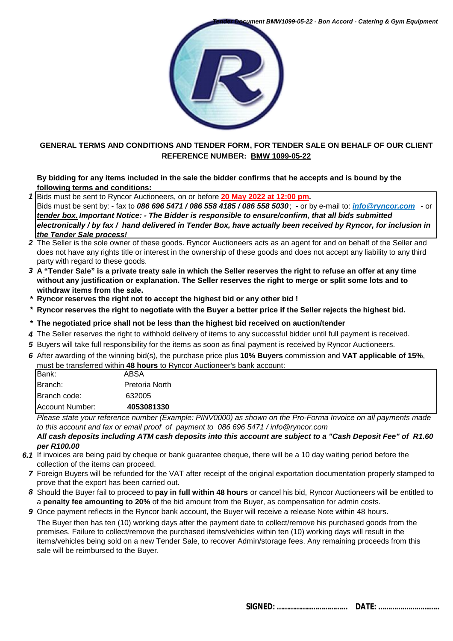

### **GENERAL TERMS AND CONDITIONS AND TENDER FORM, FOR TENDER SALE ON BEHALF OF OUR CLIENT REFERENCE NUMBER: BMW 1099-05-22**

#### **By bidding for any items included in the sale the bidder confirms that he accepts and is bound by the following terms and conditions:**

*1* Bids must be sent to Ryncor Auctioneers, on or before **20 May 2022 at 12:00 pm.** 

Bids must be sent by: - fax to *086 696 5471 / 086 558 4185 / 086 558 5030*; - or by e-mail to: *[info@ryncor.com](mailto:info@ryncor.com)* - or *tender box. Important Notice: - The Bidder is responsible to ensure/confirm, that all bids submitted electronically / by fax / hand delivered in Tender Box, have actually been received by Ryncor, for inclusion in the Tender Sale process!*

- *2* The Seller is the sole owner of these goods. Ryncor Auctioneers acts as an agent for and on behalf of the Seller and does not have any rights title or interest in the ownership of these goods and does not accept any liability to any third party with regard to these goods.
- *3* **A "Tender Sale" is a private treaty sale in which the Seller reserves the right to refuse an offer at any time without any justification or explanation. The Seller reserves the right to merge or split some lots and to withdraw items from the sale.**
- *\** **Ryncor reserves the right not to accept the highest bid or any other bid !**
- *\** **Ryncor reserves the right to negotiate with the Buyer a better price if the Seller rejects the highest bid.**
- *\** **The negotiated price shall not be less than the highest bid received on auction/tender**
- *4* The Seller reserves the right to withhold delivery of items to any successful bidder until full payment is received.
- *5* Buyers will take full responsibility for the items as soon as final payment is received by Ryncor Auctioneers.
- *6* After awarding of the winning bid(s), the purchase price plus **10% Buyers** commission and **VAT applicable of 15%**, must be transferred within **48 hours** to Ryncor Auctioneer's bank account:

| Bank:           | ABSA           |  |
|-----------------|----------------|--|
| Branch:         | Pretoria North |  |
| Branch code:    | 632005         |  |
| Account Number: | 4053081330     |  |

*Please state your reference number (Example: PINV0000) as shown on the Pro-Forma Invoice on all payments made to this account and fax or email proof of payment to 086 696 5471 / [info@ryncor.com](mailto:info@ryncor.com)*

*All cash deposits including ATM cash deposits into this account are subject to a "Cash Deposit Fee" of R1.60 per R100.00* 

- *6.1* If invoices are being paid by cheque or bank guarantee cheque, there will be a 10 day waiting period before the collection of the items can proceed.
- *7* Foreign Buyers will be refunded for the VAT after receipt of the original exportation documentation properly stamped to prove that the export has been carried out.
- *8* Should the Buyer fail to proceed to **pay in full within 48 hours** or cancel his bid, Ryncor Auctioneers will be entitled to a **penalty fee amounting to 20%** of the bid amount from the Buyer, as compensation for admin costs.
- *9* Once payment reflects in the Ryncor bank account, the Buyer will receive a release Note within 48 hours. The Buyer then has ten (10) working days after the payment date to collect/remove his purchased goods from the premises. Failure to collect/remove the purchased items/vehicles within ten (10) working days will result in the items/vehicles being sold on a new Tender Sale, to recover Admin/storage fees. Any remaining proceeds from this sale will be reimbursed to the Buyer.

 **SIGNED: ……………..……………... DATE: ………….………...…..**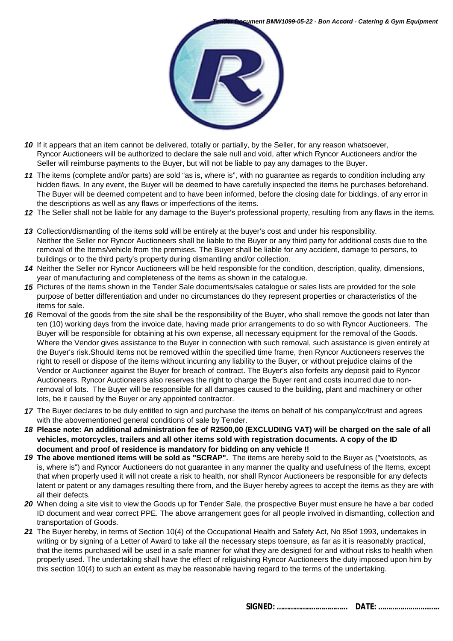

- *10* If it appears that an item cannot be delivered, totally or partially, by the Seller, for any reason whatsoever, Ryncor Auctioneers will be authorized to declare the sale null and void, after which Ryncor Auctioneers and/or the Seller will reimburse payments to the Buyer, but will not be liable to pay any damages to the Buyer.
- *11* The items (complete and/or parts) are sold "as is, where is", with no guarantee as regards to condition including any hidden flaws. In any event, the Buyer will be deemed to have carefully inspected the items he purchases beforehand. The Buyer will be deemed competent and to have been informed, before the closing date for biddings, of any error in the descriptions as well as any flaws or imperfections of the items.
- *12* The Seller shall not be liable for any damage to the Buyer's professional property, resulting from any flaws in the items.
- *13* Collection/dismantling of the items sold will be entirely at the buyer's cost and under his responsibility. Neither the Seller nor Ryncor Auctioneers shall be liable to the Buyer or any third party for additional costs due to the removal of the Items/vehicle from the premises. The Buyer shall be liable for any accident, damage to persons, to buildings or to the third party's property during dismantling and/or collection.
- *14* Neither the Seller nor Ryncor Auctioneers will be held responsible for the condition, description, quality, dimensions, year of manufacturing and completeness of the items as shown in the catalogue.
- *15* Pictures of the items shown in the Tender Sale documents/sales catalogue or sales lists are provided for the sole purpose of better differentiation and under no circumstances do they represent properties or characteristics of the items for sale.
- 16 Removal of the goods from the site shall be the responsibility of the Buyer, who shall remove the goods not later than ten (10) working days from the invoice date, having made prior arrangements to do so with Ryncor Auctioneers. The Buyer will be responsible for obtaining at his own expense, all necessary equipment for the removal of the Goods. Where the Vendor gives assistance to the Buyer in connection with such removal, such assistance is given entirely at the Buyer's risk.Should items not be removed within the specified time frame, then Ryncor Auctioneers reserves the right to resell or dispose of the items without incurring any liability to the Buyer, or without prejudice claims of the Vendor or Auctioneer against the Buyer for breach of contract. The Buyer's also forfeits any deposit paid to Ryncor Auctioneers. Ryncor Auctioneers also reserves the right to charge the Buyer rent and costs incurred due to nonremoval of lots. The Buyer will be responsible for all damages caused to the building, plant and machinery or other lots, be it caused by the Buyer or any appointed contractor.
- *17* The Buyer declares to be duly entitled to sign and purchase the items on behalf of his company/cc/trust and agrees with the abovementioned general conditions of sale by Tender.
- *18* **Please note: An additional administration fee of R2500,00 (EXCLUDING VAT) will be charged on the sale of all vehicles, motorcycles, trailers and all other items sold with registration documents. A copy of the ID document and proof of residence is mandatory for bidding on any vehicle !!**
- *19* **The above mentioned items will be sold as "SCRAP".** The items are hereby sold to the Buyer as ("voetstoots, as is, where is") and Ryncor Auctioneers do not guarantee in any manner the quality and usefulness of the Items, except that when properly used it will not create a risk to health, nor shall Ryncor Auctioneers be responsible for any defects latent or patent or any damages resulting there from, and the Buyer hereby agrees to accept the items as they are with all their defects.
- *20* When doing a site visit to view the Goods up for Tender Sale, the prospective Buyer must ensure he have a bar coded ID document and wear correct PPE. The above arrangement goes for all people involved in dismantling, collection and transportation of Goods.
- *21* The Buyer hereby, in terms of Section 10(4) of the Occupational Health and Safety Act, No 85of 1993, undertakes in writing or by signing of a Letter of Award to take all the necessary steps toensure, as far as it is reasonably practical, that the items purchased will be used in a safe manner for what they are designed for and without risks to health when properly used. The undertaking shall have the effect of religuishing Ryncor Auctioneers the duty imposed upon him by this section 10(4) to such an extent as may be reasonable having regard to the terms of the undertaking.

 **SIGNED: ……………..……………... DATE: ………….………...…..**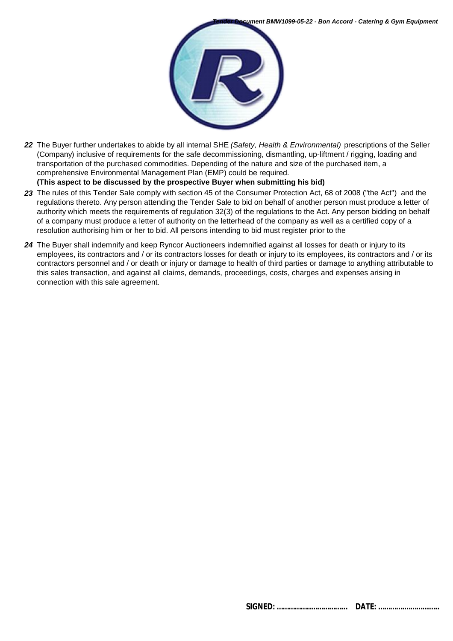

*22* The Buyer further undertakes to abide by all internal SHE *(Safety, Health & Environmental)* prescriptions of the Seller (Company) inclusive of requirements for the safe decommissioning, dismantling, up-liftment / rigging, loading and transportation of the purchased commodities. Depending of the nature and size of the purchased item, a comprehensive Environmental Management Plan (EMP) could be required.

**(This aspect to be discussed by the prospective Buyer when submitting his bid)**

- *23* The rules of this Tender Sale comply with section 45 of the Consumer Protection Act, 68 of 2008 ("the Act") and the regulations thereto. Any person attending the Tender Sale to bid on behalf of another person must produce a letter of authority which meets the requirements of regulation 32(3) of the regulations to the Act. Any person bidding on behalf of a company must produce a letter of authority on the letterhead of the company as well as a certified copy of a resolution authorising him or her to bid. All persons intending to bid must register prior to the
- *24* The Buyer shall indemnify and keep Ryncor Auctioneers indemnified against all losses for death or injury to its employees, its contractors and / or its contractors losses for death or injury to its employees, its contractors and / or its contractors personnel and / or death or injury or damage to health of third parties or damage to anything attributable to this sales transaction, and against all claims, demands, proceedings, costs, charges and expenses arising in connection with this sale agreement.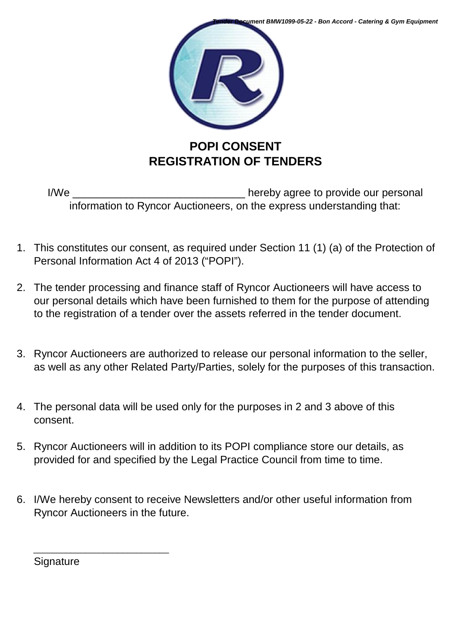

I/We \_\_\_\_\_\_\_\_\_\_\_\_\_\_\_\_\_\_\_\_\_\_\_\_\_\_\_\_\_ hereby agree to provide our personal information to Ryncor Auctioneers, on the express understanding that:

- 1. This constitutes our consent, as required under Section 11 (1) (a) of the Protection of Personal Information Act 4 of 2013 ("POPI").
- 2. The tender processing and finance staff of Ryncor Auctioneers will have access to our personal details which have been furnished to them for the purpose of attending to the registration of a tender over the assets referred in the tender document.
- 3. Ryncor Auctioneers are authorized to release our personal information to the seller, as well as any other Related Party/Parties, solely for the purposes of this transaction.
- 4. The personal data will be used only for the purposes in 2 and 3 above of this consent.
- 5. Ryncor Auctioneers will in addition to its POPI compliance store our details, as provided for and specified by the Legal Practice Council from time to time.
- 6. I/We hereby consent to receive Newsletters and/or other useful information from Ryncor Auctioneers in the future.

**Signature** 

\_\_\_\_\_\_\_\_\_\_\_\_\_\_\_\_\_\_\_\_\_\_\_\_\_\_\_\_\_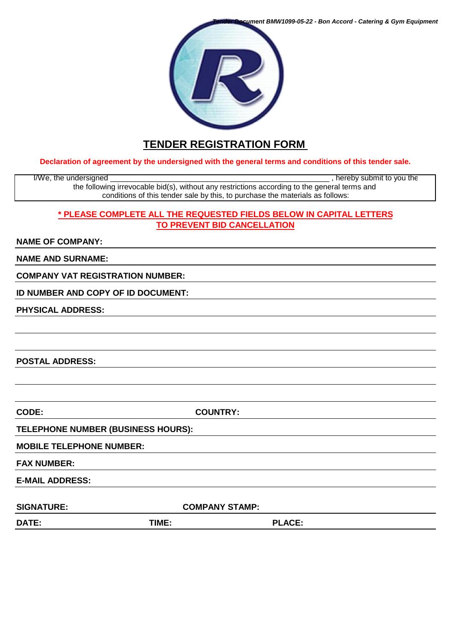*Tender Document BMW1099-05-22 - Bon Accord - Catering & Gym Equipment*



# **TENDER REGISTRATION FORM**

**Declaration of agreement by the undersigned with the general terms and conditions of this tender sale.**

I/We, the undersigned \_\_\_\_\_\_\_\_\_\_\_\_\_\_\_\_\_\_\_\_\_\_\_\_\_\_\_\_\_\_\_\_\_\_\_\_\_\_\_\_\_\_\_\_\_\_\_\_\_\_\_\_ , hereby submit to you the the following irrevocable bid(s), without any restrictions according to the general terms and conditions of this tender sale by this, to purchase the materials as follows:

### **\* PLEASE COMPLETE ALL THE REQUESTED FIELDS BELOW IN CAPITAL LETTERS TO PREVENT BID CANCELLATION**

#### **NAME OF COMPANY:**

**NAME AND SURNAME:**

**COMPANY VAT REGISTRATION NUMBER:**

**ID NUMBER AND COPY OF ID DOCUMENT:**

**PHYSICAL ADDRESS:**

**POSTAL ADDRESS:**

**CODE: COUNTRY:**

**TELEPHONE NUMBER (BUSINESS HOURS):**

**MOBILE TELEPHONE NUMBER:**

**FAX NUMBER:**

**E-MAIL ADDRESS:** 

SIGNATURE: COMPANY STAMP:

**DATE: TIME: PLACE:**